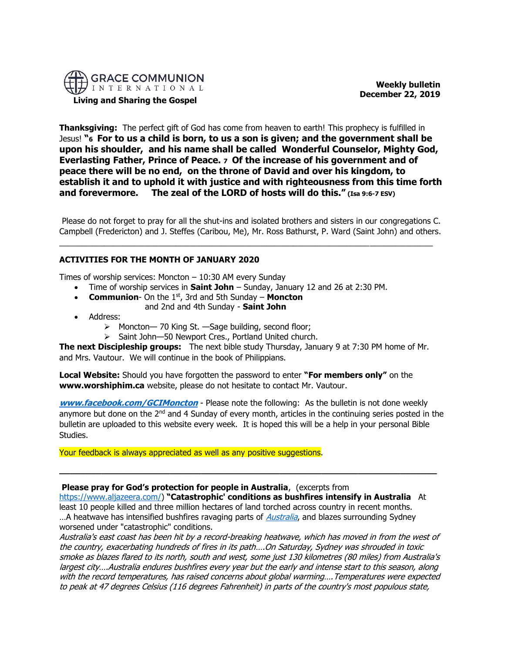

**Living and Sharing the Gospel**

 **Weekly bulletin December 22, 2019** 

**Thanksgiving:** The perfect gift of God has come from heaven to earth! This prophecy is fulfilled in Jesus! **"6 For to us a child is born, to us a son is given; and the government shall be upon his shoulder, and his name shall be called Wonderful Counselor, Mighty God, Everlasting Father, Prince of Peace. 7 Of the increase of his government and of peace there will be no end, on the throne of David and over his kingdom, to establish it and to uphold it with justice and with righteousness from this time forth and forevermore. The zeal of the LORD of hosts will do this." (Isa 9:6-7 ESV)**

Please do not forget to pray for all the shut-ins and isolated brothers and sisters in our congregations C. Campbell (Fredericton) and J. Steffes (Caribou, Me), Mr. Ross Bathurst, P. Ward (Saint John) and others.

 $\_$  ,  $\_$  ,  $\_$  ,  $\_$  ,  $\_$  ,  $\_$  ,  $\_$  ,  $\_$  ,  $\_$  ,  $\_$  ,  $\_$  ,  $\_$  ,  $\_$  ,  $\_$  ,  $\_$  ,  $\_$  ,  $\_$  ,  $\_$  ,  $\_$  ,  $\_$  ,  $\_$  ,  $\_$  ,  $\_$  ,  $\_$  ,  $\_$  ,  $\_$  ,  $\_$  ,  $\_$  ,  $\_$  ,  $\_$  ,  $\_$  ,  $\_$  ,  $\_$  ,  $\_$  ,  $\_$  ,  $\_$  ,  $\_$  ,

# **ACTIVITIES FOR THE MONTH OF JANUARY 2020**

Times of worship services: Moncton  $-10:30$  AM every Sunday

- Time of worship services in **Saint John** Sunday, January 12 and 26 at 2:30 PM.
- **Communion** On the 1<sup>st</sup>, 3rd and 5th Sunday **Moncton** and 2nd and 4th Sunday - **Saint John**
- Address:
	- ➢ Moncton— 70 King St. —Sage building, second floor;
	- ➢ Saint John—50 Newport Cres., Portland United church.

**The next Discipleship groups:** The next bible study Thursday, January 9 at 7:30 PM home of Mr. and Mrs. Vautour. We will continue in the book of Philippians.

**Local Website:** Should you have forgotten the password to enter **"For members only"** on the **www.worshiphim.ca** website, please do not hesitate to contact Mr. Vautour.

**[www.facebook.com/GCIMoncton](http://www.facebook.com/GCIMoncton)** - Please note the following: As the bulletin is not done weekly anymore but done on the  $2^{nd}$  and 4 Sunday of every month, articles in the continuing series posted in the bulletin are uploaded to this website every week. It is hoped this will be a help in your personal Bible Studies.

Your feedback is always appreciated as well as any positive suggestions.

## **Please pray for God's protection for people in Australia**, (excerpts from

[https://www.aljazeera.com/\)](https://www.aljazeera.com/) **"Catastrophic' conditions as bushfires intensify in Australia** At least 10 people killed and three million hectares of land torched across country in recent months. ... A heatwave has intensified bushfires ravaging parts of *[Australia](https://www.aljazeera.com/topics/country/australia.html)*, and blazes surrounding Sydney worsened under "catastrophic" conditions.

**\_\_\_\_\_\_\_\_\_\_\_\_\_\_\_\_\_\_\_\_\_\_\_\_\_\_\_\_\_\_\_\_\_\_\_\_\_\_\_\_\_\_\_\_\_\_\_\_\_\_\_\_\_\_\_\_\_\_\_\_\_\_\_\_\_\_\_\_\_\_\_\_**

Australia's east coast has been hit by a record-breaking heatwave, which has moved in from the west of the country, exacerbating hundreds of fires in its path….On Saturday, Sydney was shrouded in toxic smoke as blazes flared to its north, south and west, some just 130 kilometres (80 miles) from Australia's largest city….Australia endures bushfires every year but the early and intense start to this season, along with the record temperatures, has raised concerns about global warming….Temperatures were expected to peak at 47 degrees Celsius (116 degrees Fahrenheit) in parts of the country's most populous state,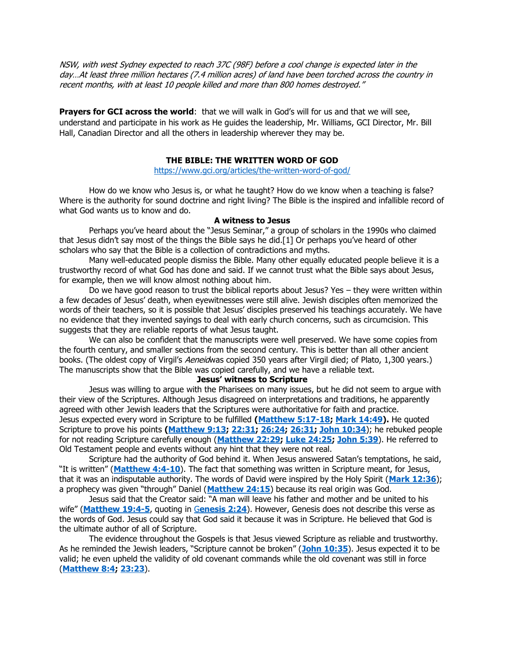NSW, with west Sydney expected to reach 37C (98F) before a cool change is expected later in the day…At least three million hectares (7.4 million acres) of land have been torched across the country in recent months, with at least 10 people killed and more than 800 homes destroyed."

**Prayers for GCI across the world**: that we will walk in God's will for us and that we will see, understand and participate in his work as He guides the leadership, Mr. Williams, GCI Director, Mr. Bill Hall, Canadian Director and all the others in leadership wherever they may be.

## **THE BIBLE: THE WRITTEN WORD OF GOD**

<https://www.gci.org/articles/the-written-word-of-god/>

How do we know who Jesus is, or what he taught? How do we know when a teaching is false? Where is the authority for sound doctrine and right living? The Bible is the inspired and infallible record of what God wants us to know and do.

#### **A witness to Jesus**

Perhaps you've heard about the "Jesus Seminar," a group of scholars in the 1990s who claimed that Jesus didn't say most of the things the Bible says he did.[1] Or perhaps you've heard of other scholars who say that the Bible is a collection of contradictions and myths.

Many well-educated people dismiss the Bible. Many other equally educated people believe it is a trustworthy record of what God has done and said. If we cannot trust what the Bible says about Jesus, for example, then we will know almost nothing about him.

Do we have good reason to trust the biblical reports about Jesus? Yes – they were written within a few decades of Jesus' death, when eyewitnesses were still alive. Jewish disciples often memorized the words of their teachers, so it is possible that Jesus' disciples preserved his teachings accurately. We have no evidence that they invented sayings to deal with early church concerns, such as circumcision. This suggests that they are reliable reports of what Jesus taught.

We can also be confident that the manuscripts were well preserved. We have some copies from the fourth century, and smaller sections from the second century. This is better than all other ancient books. (The oldest copy of Virgil's Aeneidwas copied 350 years after Virgil died; of Plato, 1,300 years.) The manuscripts show that the Bible was copied carefully, and we have a reliable text.

# **Jesus' witness to Scripture**

Jesus was willing to argue with the Pharisees on many issues, but he did not seem to argue with their view of the Scriptures. Although Jesus disagreed on interpretations and traditions, he apparently agreed with other Jewish leaders that the Scriptures were authoritative for faith and practice. Jesus expected every word in Scripture to be fulfilled **[\(Matthew 5:17-18;](http://biblia.com/bible/niv/Matt%205.17-18) [Mark 14:49\)](http://biblia.com/bible/niv/Mark%2014.49).** He quoted Scripture to prove his points **[\(Matthew 9:13;](http://biblia.com/bible/niv/Matt%209.13) [22:31;](http://biblia.com/bible/niv/Matthew%2022.31) [26:24;](http://biblia.com/bible/niv/Matthew%2026.24) [26:31;](http://biblia.com/bible/niv/Matthew%2026.31) [John 10:34](http://biblia.com/bible/niv/John%2010.34)**); he rebuked people for not reading Scripture carefully enough (**[Matthew 22:29;](http://biblia.com/bible/niv/Matt%2022.29) [Luke 24:25;](http://biblia.com/bible/niv/Luke%2024.25) [John 5:39](http://biblia.com/bible/niv/John%205.39)**). He referred to Old Testament people and events without any hint that they were not real.

Scripture had the authority of God behind it. When Jesus answered Satan's temptations, he said, "It is written" (**[Matthew 4:4-10](http://biblia.com/bible/niv/Matt%204.4-10)**). The fact that something was written in Scripture meant, for Jesus, that it was an indisputable authority. The words of David were inspired by the Holy Spirit (**[Mark 12:36](http://biblia.com/bible/niv/Mark%2012.36)**); a prophecy was given "through" Daniel (**[Matthew 24:15](http://biblia.com/bible/niv/Matt%2024.15)**) because its real origin was God.

Jesus said that the Creator said: "A man will leave his father and mother and be united to his wife" (**[Matthew](http://biblia.com/bible/niv/Matt%2019.4-5) 19:4-5**, quoting in G**[enesis 2:24](http://biblia.com/bible/niv/Gen%202.24)**). However, Genesis does not describe this verse as the words of God. Jesus could say that God said it because it was in Scripture. He believed that God is the ultimate author of all of Scripture.

The evidence throughout the Gospels is that Jesus viewed Scripture as reliable and trustworthy. As he reminded the Jewish leaders, "Scripture cannot be broken" (**[John 10:35](http://biblia.com/bible/niv/John%2010.35)**). Jesus expected it to be valid; he even upheld the validity of old covenant commands while the old covenant was still in force (**[Matthew 8:4;](http://biblia.com/bible/niv/Matt%208.4) [23:23](http://biblia.com/bible/niv/Matthew%2023.23)**).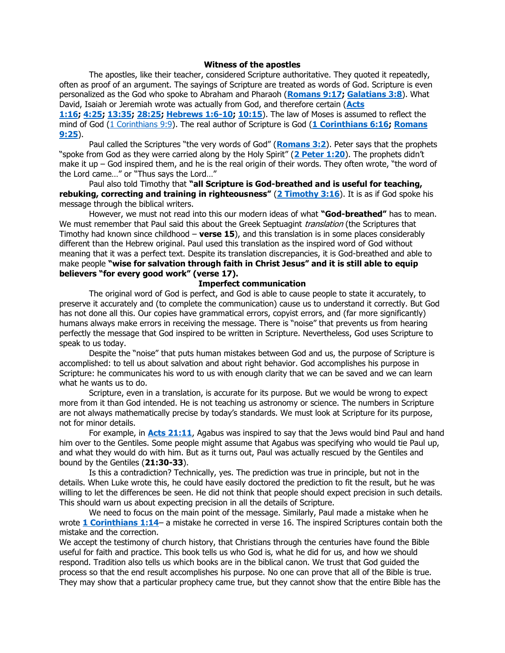#### **Witness of the apostles**

The apostles, like their teacher, considered Scripture authoritative. They quoted it repeatedly, often as proof of an argument. The sayings of Scripture are treated as words of God. Scripture is even personalized as the God who spoke to Abraham and Pharaoh (**[Romans 9:17;](http://biblia.com/bible/niv/Rom%209.17) [Galatians 3:8](http://biblia.com/bible/niv/Gal%203.8)**). What David, Isaiah or Jeremiah wrote was actually from God, and therefore certain (**[Acts](http://biblia.com/bible/niv/Acts%201.16) [1:16;](http://biblia.com/bible/niv/Acts%201.16) [4:25;](http://biblia.com/bible/niv/Acts%204.25) [13:35;](http://biblia.com/bible/niv/Acts%2013.35) [28:25;](http://biblia.com/bible/niv/Acts%2028.25) [Hebrews 1:6-10;](http://biblia.com/bible/niv/Heb%201.6-10) [10:15](http://biblia.com/bible/niv/Hebrews%2010.15)**). The law of Moses is assumed to reflect the mind of God [\(1 Corinthians 9:9\)](http://biblia.com/bible/niv/1%20Cor%209.9). The real author of Scripture is God (**[1 Corinthians 6:16;](http://biblia.com/bible/niv/1%20Cor%206.16) [Romans](http://biblia.com/bible/niv/Rom%209.25)  [9:25](http://biblia.com/bible/niv/Rom%209.25)**).

Paul called the Scriptures "the very words of God" (**[Romans 3:2](http://biblia.com/bible/niv/Rom%203.2)**). Peter says that the prophets "spoke from God as they were carried along by the Holy Spirit" (**[2 Peter 1:20](http://biblia.com/bible/niv/2%20Pet%201.20)**). The prophets didn't make it up – God inspired them, and he is the real origin of their words. They often wrote, "the word of the Lord came…" or "Thus says the Lord…"

Paul also told Timothy that **"all Scripture is God-breathed and is useful for teaching, rebuking, correcting and training in righteousness"** (**[2 Timothy 3:16](http://biblia.com/bible/niv/2%20Tim%203.16)**). It is as if God spoke his message through the biblical writers.

However, we must not read into this our modern ideas of what **"God-breathed"** has to mean. We must remember that Paul said this about the Greek Septuagint *translation* (the Scriptures that Timothy had known since childhood – **verse 15**), and this translation is in some places considerably different than the Hebrew original. Paul used this translation as the inspired word of God without meaning that it was a perfect text. Despite its translation discrepancies, it is God-breathed and able to make people **"wise for salvation through faith in Christ Jesus" and it is still able to equip believers "for every good work" (verse 17).**

## **Imperfect communication**

The original word of God is perfect, and God is able to cause people to state it accurately, to preserve it accurately and (to complete the communication) cause us to understand it correctly. But God has not done all this. Our copies have grammatical errors, copyist errors, and (far more significantly) humans always make errors in receiving the message. There is "noise" that prevents us from hearing perfectly the message that God inspired to be written in Scripture. Nevertheless, God uses Scripture to speak to us today.

Despite the "noise" that puts human mistakes between God and us, the purpose of Scripture is accomplished: to tell us about salvation and about right behavior. God accomplishes his purpose in Scripture: he communicates his word to us with enough clarity that we can be saved and we can learn what he wants us to do.

Scripture, even in a translation, is accurate for its purpose. But we would be wrong to expect more from it than God intended. He is not teaching us astronomy or science. The numbers in Scripture are not always mathematically precise by today's standards. We must look at Scripture for its purpose, not for minor details.

For example, in **[Acts 21:11](http://biblia.com/bible/niv/Acts%2021.11)**, Agabus was inspired to say that the Jews would bind Paul and hand him over to the Gentiles. Some people might assume that Agabus was specifying who would tie Paul up, and what they would do with him. But as it turns out, Paul was actually rescued by the Gentiles and bound by the Gentiles (**21:30-33**).

Is this a contradiction? Technically, yes. The prediction was true in principle, but not in the details. When Luke wrote this, he could have easily doctored the prediction to fit the result, but he was willing to let the differences be seen. He did not think that people should expect precision in such details. This should warn us about expecting precision in all the details of Scripture.

We need to focus on the main point of the message. Similarly, Paul made a mistake when he wrote **[1 Corinthians 1:14](http://biblia.com/bible/niv/1%20Cor%201.14)**– a mistake he corrected in verse 16. The inspired Scriptures contain both the mistake and the correction.

We accept the testimony of church history, that Christians through the centuries have found the Bible useful for faith and practice. This book tells us who God is, what he did for us, and how we should respond. Tradition also tells us which books are in the biblical canon. We trust that God guided the process so that the end result accomplishes his purpose. No one can prove that all of the Bible is true. They may show that a particular prophecy came true, but they cannot show that the entire Bible has the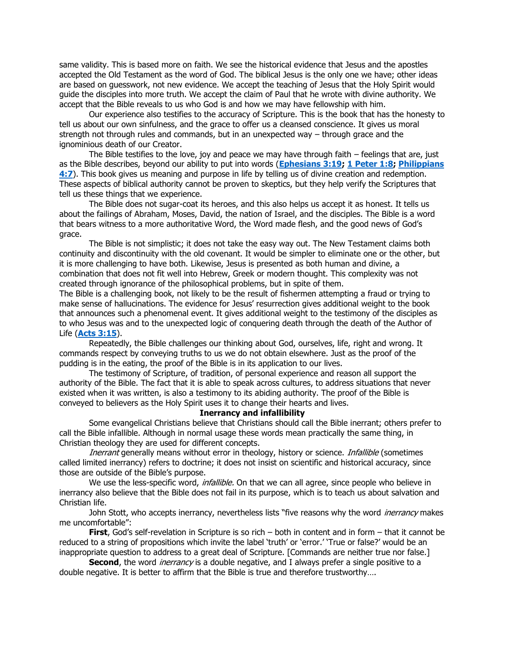same validity. This is based more on faith. We see the historical evidence that Jesus and the apostles accepted the Old Testament as the word of God. The biblical Jesus is the only one we have; other ideas are based on guesswork, not new evidence. We accept the teaching of Jesus that the Holy Spirit would guide the disciples into more truth. We accept the claim of Paul that he wrote with divine authority. We accept that the Bible reveals to us who God is and how we may have fellowship with him.

Our experience also testifies to the accuracy of Scripture. This is the book that has the honesty to tell us about our own sinfulness, and the grace to offer us a cleansed conscience. It gives us moral strength not through rules and commands, but in an unexpected way – through grace and the ignominious death of our Creator.

The Bible testifies to the love, joy and peace we may have through faith – feelings that are, just as the Bible describes, beyond our ability to put into words (**[Ephesians 3:19;](https://biblia.com/bible/niv/Eph%203.19) [1 Peter 1:8;](https://biblia.com/bible/niv/1%20Pet%201.8) [Philippians](https://biblia.com/bible/niv/Phil%204.7)  [4:7](https://biblia.com/bible/niv/Phil%204.7)**). This book gives us meaning and purpose in life by telling us of divine creation and redemption. These aspects of biblical authority cannot be proven to skeptics, but they help verify the Scriptures that tell us these things that we experience.

The Bible does not sugar-coat its heroes, and this also helps us accept it as honest. It tells us about the failings of Abraham, Moses, David, the nation of Israel, and the disciples. The Bible is a word that bears witness to a more authoritative Word, the Word made flesh, and the good news of God's grace.

The Bible is not simplistic; it does not take the easy way out. The New Testament claims both continuity and discontinuity with the old covenant. It would be simpler to eliminate one or the other, but it is more challenging to have both. Likewise, Jesus is presented as both human and divine, a combination that does not fit well into Hebrew, Greek or modern thought. This complexity was not created through ignorance of the philosophical problems, but in spite of them.

The Bible is a challenging book, not likely to be the result of fishermen attempting a fraud or trying to make sense of hallucinations. The evidence for Jesus' resurrection gives additional weight to the book that announces such a phenomenal event. It gives additional weight to the testimony of the disciples as to who Jesus was and to the unexpected logic of conquering death through the death of the Author of Life (**[Acts 3:15](https://biblia.com/bible/niv/Acts%203.15)**).

Repeatedly, the Bible challenges our thinking about God, ourselves, life, right and wrong. It commands respect by conveying truths to us we do not obtain elsewhere. Just as the proof of the pudding is in the eating, the proof of the Bible is in its application to our lives.

The testimony of Scripture, of tradition, of personal experience and reason all support the authority of the Bible. The fact that it is able to speak across cultures, to address situations that never existed when it was written, is also a testimony to its abiding authority. The proof of the Bible is conveyed to believers as the Holy Spirit uses it to change their hearts and lives.

### **Inerrancy and infallibility**

Some evangelical Christians believe that Christians should call the Bible inerrant; others prefer to call the Bible infallible. Although in normal usage these words mean practically the same thing, in Christian theology they are used for different concepts.

Inerrant generally means without error in theology, history or science. Infallible (sometimes called limited inerrancy) refers to doctrine; it does not insist on scientific and historical accuracy, since those are outside of the Bible's purpose.

We use the less-specific word, *infallible*. On that we can all agree, since people who believe in inerrancy also believe that the Bible does not fail in its purpose, which is to teach us about salvation and Christian life.

John Stott, who accepts inerrancy, nevertheless lists "five reasons why the word *inerrancy* makes me uncomfortable":

**First**, God's self-revelation in Scripture is so rich – both in content and in form – that it cannot be reduced to a string of propositions which invite the label 'truth' or 'error.' 'True or false?' would be an inappropriate question to address to a great deal of Scripture. [Commands are neither true nor false.]

Second, the word *inerrancy* is a double negative, and I always prefer a single positive to a double negative. It is better to affirm that the Bible is true and therefore trustworthy….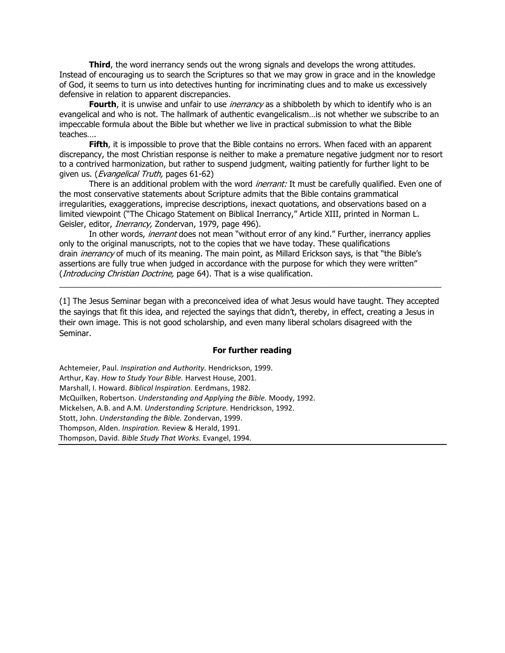**Third**, the word inerrancy sends out the wrong signals and develops the wrong attitudes. Instead of encouraging us to search the Scriptures so that we may grow in grace and in the knowledge of God, it seems to turn us into detectives hunting for incriminating clues and to make us excessively defensive in relation to apparent discrepancies.

**Fourth**, it is unwise and unfair to use *inerrancy* as a shibboleth by which to identify who is an evangelical and who is not. The hallmark of authentic evangelicalism…is not whether we subscribe to an impeccable formula about the Bible but whether we live in practical submission to what the Bible teaches….

**Fifth**, it is impossible to prove that the Bible contains no errors. When faced with an apparent discrepancy, the most Christian response is neither to make a premature negative judgment nor to resort to a contrived harmonization, but rather to suspend judgment, waiting patiently for further light to be given us. (*Evangelical Truth*, pages 61-62)

There is an additional problem with the word *inerrant:* It must be carefully qualified. Even one of the most conservative statements about Scripture admits that the Bible contains grammatical irregularities, exaggerations, imprecise descriptions, inexact quotations, and observations based on a limited viewpoint ("The Chicago Statement on Biblical Inerrancy," Article XIII, printed in Norman L. Geisler, editor, *Inerrancy*, Zondervan, 1979, page 496).

In other words, *inerrant* does not mean "without error of any kind." Further, inerrancy applies only to the original manuscripts, not to the copies that we have today. These qualifications drain *inerrancy* of much of its meaning. The main point, as Millard Erickson says, is that "the Bible's assertions are fully true when judged in accordance with the purpose for which they were written" (*Introducing Christian Doctrine*, page 64). That is a wise qualification.

(1] The Jesus Seminar began with a preconceived idea of what Jesus would have taught. They accepted the sayings that fit this idea, and rejected the sayings that didn't, thereby, in effect, creating a Jesus in their own image. This is not good scholarship, and even many liberal scholars disagreed with the Seminar.

 $\_$  , and the state of the state of the state of the state of the state of the state of the state of the state of the state of the state of the state of the state of the state of the state of the state of the state of the

#### **For further reading**

Achtemeier, Paul. *Inspiration and Authority.* Hendrickson, 1999. Arthur, Kay. *How to Study Your Bible.* Harvest House, 2001. Marshall, I. Howard. *Biblical Inspiration.* Eerdmans, 1982. McQuilken, Robertson. *Understanding and Applying the Bible.* Moody, 1992. Mickelsen, A.B. and A.M. *Understanding Scripture.* Hendrickson, 1992. Stott, John. *Understanding the Bible.* Zondervan, 1999. Thompson, Alden. *Inspiration.* Review & Herald, 1991. Thompson, David. *Bible Study That Works.* Evangel, 1994.